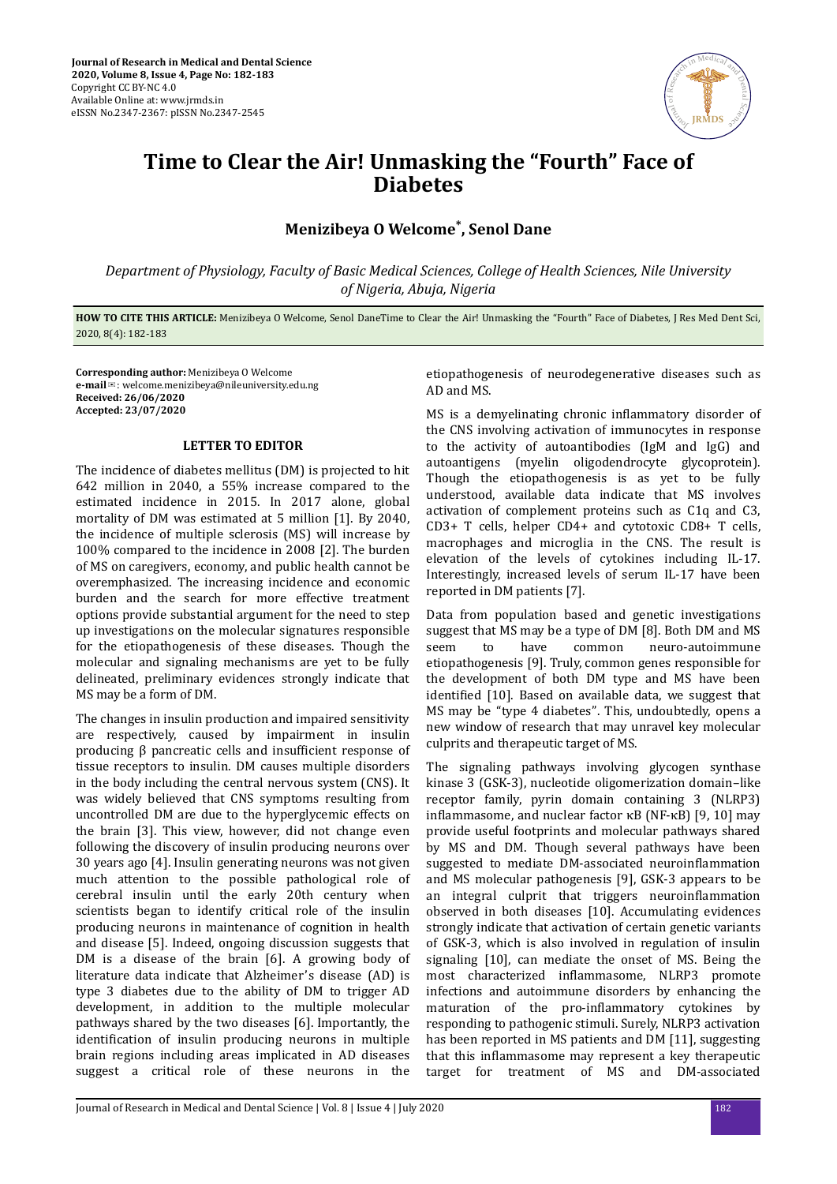

## **Time to Clear the Air! Unmasking the "Fourth" Face of Diabetes**

## **Menizibeya O Welcome\* , Senol Dane**

*Department of Physiology, Faculty of Basic Medical Sciences, College of Health Sciences, Nile University of Nigeria, Abuja, Nigeria*

**HOW TO CITE THIS ARTICLE:** Menizibeya O Welcome, Senol DaneTime to Clear the Air! Unmasking the "Fourth" Face of Diabetes, J Res Med Dent Sci, 2020, 8(4): 182-183

**Corresponding author:** Menizibeya O Welcome **e-mail**✉: welcome.menizibeya@nileuniversity.edu.ng **Received: 26/06/2020 Accepted: 23/07/2020** 

## **LETTER TO EDITOR**

The incidence of diabetes mellitus (DM) is projected to hit 642 million in 2040, a 55% increase compared to the estimated incidence in 2015. In 2017 alone, global mortality of DM was estimated at 5 million [1]. By 2040, the incidence of multiple sclerosis (MS) will increase by 100% compared to the incidence in 2008 [2]. The burden of MS on caregivers, economy, and public health cannot be overemphasized. The increasing incidence and economic burden and the search for more effective treatment options provide substantial argument for the need to step up investigations on the molecular signatures responsible for the etiopathogenesis of these diseases. Though the molecular and signaling mechanisms are yet to be fully delineated, preliminary evidences strongly indicate that MS may be a form of DM.

The changes in insulin production and impaired sensitivity are respectively, caused by impairment in insulin producing β pancreatic cells and insufficient response of tissue receptors to insulin. DM causes multiple disorders in the body including the central nervous system (CNS). It was widely believed that CNS symptoms resulting from uncontrolled DM are due to the hyperglycemic effects on the brain [3]. This view, however, did not change even following the discovery of insulin producing neurons over 30 years ago [4]. Insulin generating neurons was not given much attention to the possible pathological role of cerebral insulin until the early 20th century when scientists began to identify critical role of the insulin producing neurons in maintenance of cognition in health and disease [5]. Indeed, ongoing discussion suggests that DM is a disease of the brain [6]. A growing body of literature data indicate that Alzheimer's disease (AD) is type 3 diabetes due to the ability of DM to trigger AD development, in addition to the multiple molecular pathways shared by the two diseases [6]. Importantly, the identification of insulin producing neurons in multiple brain regions including areas implicated in AD diseases suggest a critical role of these neurons in the

etiopathogenesis of neurodegenerative diseases such as AD and MS.

MS is a demvelinating chronic inflammatory disorder of the CNS involving activation of immunocytes in response to the activity of autoantibodies (IgM and IgG) and autoantigens (myelin oligodendrocyte glycoprotein). Though the etiopathogenesis is as yet to be fully understood, available data indicate that MS involves activation of complement proteins such as C1q and C3, CD3+ T cells, helper CD4+ and cytotoxic CD8+ T cells, macrophages and microglia in the CNS. The result is elevation of the levels of cytokines including IL-17. Interestingly, increased levels of serum IL-17 have been reported in DM patients [7].

Data from population based and genetic investigations suggest that MS may be a type of DM [8]. Both DM and MS seem to have common neuro-autoimmune etiopathogenesis [9]. Truly, common genes responsible for the development of both DM type and MS have been identified [10]. Based on available data, we suggest that MS may be "type 4 diabetes". This, undoubtedly, opens a new window of research that may unravel key molecular culprits and therapeutic target of MS.

The signaling pathways involving glycogen synthase kinase 3 (GSK-3), nucleotide oligomerization domain–like receptor family, pyrin domain containing 3 (NLRP3) inflammasome, and nuclear factor  $κB$  (NF- $κB$ ) [9, 10] may provide useful footprints and molecular pathways shared by MS and DM. Though several pathways have been suggested to mediate DM-associated neuroinflammation and MS molecular pathogenesis [9], GSK-3 appears to be an integral culprit that triggers neuroinflammation observed in both diseases [10]. Accumulating evidences strongly indicate that activation of certain genetic variants of GSK-3, which is also involved in regulation of insulin signaling [10], can mediate the onset of MS. Being the most characterized inflammasome, NLRP3 promote infections and autoimmune disorders by enhancing the maturation of the pro-inflammatory cytokines by responding to pathogenic stimuli. Surely, NLRP3 activation has been reported in MS patients and DM [11], suggesting that this inflammasome may represent a key therapeutic target for treatment of MS and DM-associated